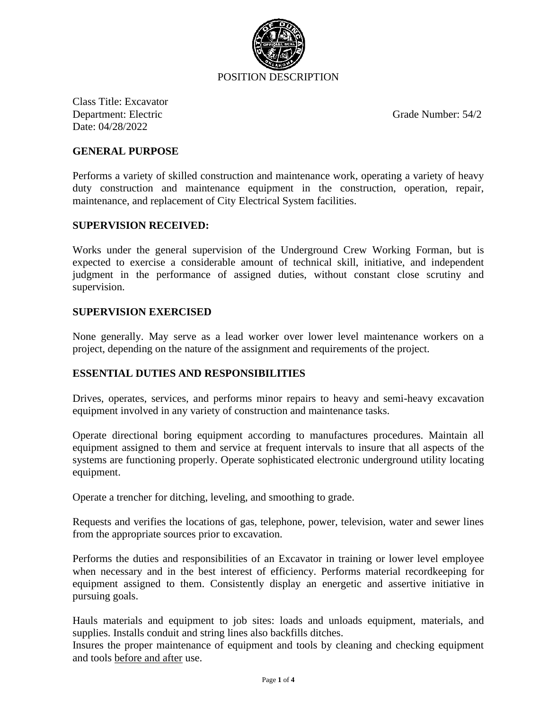

Class Title: Excavator Department: Electric Grade Number: 54/2 Date: 04/28/2022

## **GENERAL PURPOSE**

Performs a variety of skilled construction and maintenance work, operating a variety of heavy duty construction and maintenance equipment in the construction, operation, repair, maintenance, and replacement of City Electrical System facilities.

#### **SUPERVISION RECEIVED:**

Works under the general supervision of the Underground Crew Working Forman, but is expected to exercise a considerable amount of technical skill, initiative, and independent judgment in the performance of assigned duties, without constant close scrutiny and supervision.

### **SUPERVISION EXERCISED**

None generally. May serve as a lead worker over lower level maintenance workers on a project, depending on the nature of the assignment and requirements of the project.

## **ESSENTIAL DUTIES AND RESPONSIBILITIES**

Drives, operates, services, and performs minor repairs to heavy and semi-heavy excavation equipment involved in any variety of construction and maintenance tasks.

Operate directional boring equipment according to manufactures procedures. Maintain all equipment assigned to them and service at frequent intervals to insure that all aspects of the systems are functioning properly. Operate sophisticated electronic underground utility locating equipment.

Operate a trencher for ditching, leveling, and smoothing to grade.

Requests and verifies the locations of gas, telephone, power, television, water and sewer lines from the appropriate sources prior to excavation.

Performs the duties and responsibilities of an Excavator in training or lower level employee when necessary and in the best interest of efficiency. Performs material recordkeeping for equipment assigned to them. Consistently display an energetic and assertive initiative in pursuing goals.

Hauls materials and equipment to job sites: loads and unloads equipment, materials, and supplies. Installs conduit and string lines also backfills ditches.

Insures the proper maintenance of equipment and tools by cleaning and checking equipment and tools before and after use.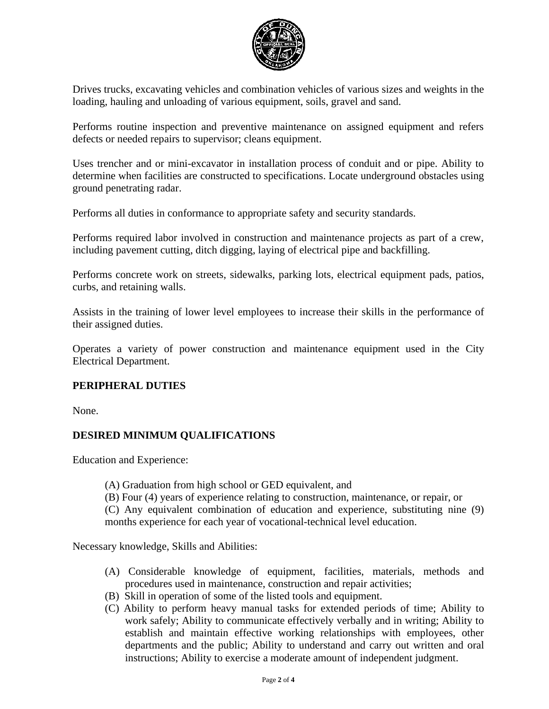

Drives trucks, excavating vehicles and combination vehicles of various sizes and weights in the loading, hauling and unloading of various equipment, soils, gravel and sand.

Performs routine inspection and preventive maintenance on assigned equipment and refers defects or needed repairs to supervisor; cleans equipment.

Uses trencher and or mini-excavator in installation process of conduit and or pipe. Ability to determine when facilities are constructed to specifications. Locate underground obstacles using ground penetrating radar.

Performs all duties in conformance to appropriate safety and security standards.

Performs required labor involved in construction and maintenance projects as part of a crew, including pavement cutting, ditch digging, laying of electrical pipe and backfilling.

Performs concrete work on streets, sidewalks, parking lots, electrical equipment pads, patios, curbs, and retaining walls.

Assists in the training of lower level employees to increase their skills in the performance of their assigned duties.

Operates a variety of power construction and maintenance equipment used in the City Electrical Department.

## **PERIPHERAL DUTIES**

None.

# **DESIRED MINIMUM QUALIFICATIONS**

Education and Experience:

(A) Graduation from high school or GED equivalent, and

(B) Four (4) years of experience relating to construction, maintenance, or repair, or

(C) Any equivalent combination of education and experience, substituting nine (9) months experience for each year of vocational-technical level education.

Necessary knowledge, Skills and Abilities:

- (A) Considerable knowledge of equipment, facilities, materials, methods and procedures used in maintenance, construction and repair activities;
- (B) Skill in operation of some of the listed tools and equipment.
- (C) Ability to perform heavy manual tasks for extended periods of time; Ability to work safely; Ability to communicate effectively verbally and in writing; Ability to establish and maintain effective working relationships with employees, other departments and the public; Ability to understand and carry out written and oral instructions; Ability to exercise a moderate amount of independent judgment.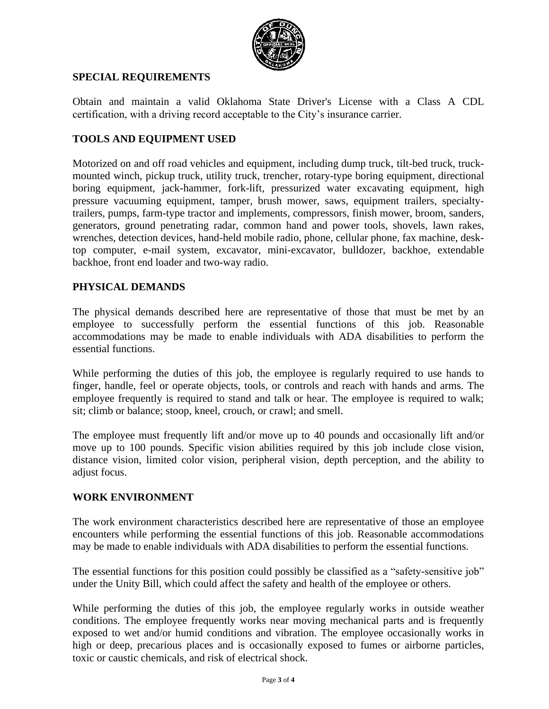

## **SPECIAL REQUIREMENTS**

Obtain and maintain a valid Oklahoma State Driver's License with a Class A CDL certification, with a driving record acceptable to the City's insurance carrier.

# **TOOLS AND EQUIPMENT USED**

Motorized on and off road vehicles and equipment, including dump truck, tilt-bed truck, truckmounted winch, pickup truck, utility truck, trencher, rotary-type boring equipment, directional boring equipment, jack-hammer, fork-lift, pressurized water excavating equipment, high pressure vacuuming equipment, tamper, brush mower, saws, equipment trailers, specialtytrailers, pumps, farm-type tractor and implements, compressors, finish mower, broom, sanders, generators, ground penetrating radar, common hand and power tools, shovels, lawn rakes, wrenches, detection devices, hand-held mobile radio, phone, cellular phone, fax machine, desktop computer, e-mail system, excavator, mini-excavator, bulldozer, backhoe, extendable backhoe, front end loader and two-way radio.

## **PHYSICAL DEMANDS**

The physical demands described here are representative of those that must be met by an employee to successfully perform the essential functions of this job. Reasonable accommodations may be made to enable individuals with ADA disabilities to perform the essential functions.

While performing the duties of this job, the employee is regularly required to use hands to finger, handle, feel or operate objects, tools, or controls and reach with hands and arms. The employee frequently is required to stand and talk or hear. The employee is required to walk; sit; climb or balance; stoop, kneel, crouch, or crawl; and smell.

The employee must frequently lift and/or move up to 40 pounds and occasionally lift and/or move up to 100 pounds. Specific vision abilities required by this job include close vision, distance vision, limited color vision, peripheral vision, depth perception, and the ability to adjust focus.

## **WORK ENVIRONMENT**

The work environment characteristics described here are representative of those an employee encounters while performing the essential functions of this job. Reasonable accommodations may be made to enable individuals with ADA disabilities to perform the essential functions.

The essential functions for this position could possibly be classified as a "safety-sensitive job" under the Unity Bill, which could affect the safety and health of the employee or others.

While performing the duties of this job, the employee regularly works in outside weather conditions. The employee frequently works near moving mechanical parts and is frequently exposed to wet and/or humid conditions and vibration. The employee occasionally works in high or deep, precarious places and is occasionally exposed to fumes or airborne particles, toxic or caustic chemicals, and risk of electrical shock.